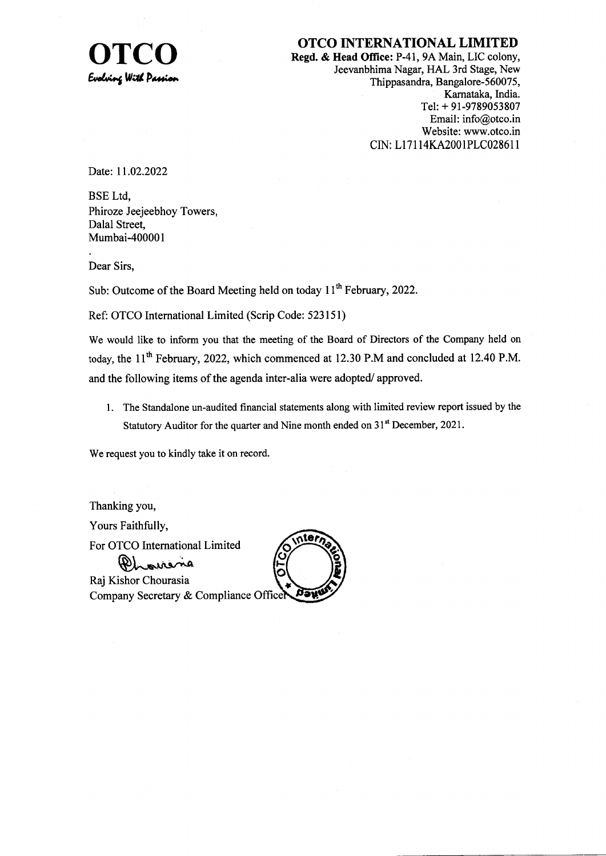

OTCO INTERNATIONAL LIMITED<br>Regd. & Head Office: P-41, 9A Main, LIC colony<br>Legyarbhima Nagar, HAL 3rd Stage, New Jeevanbhima Nagar, HAL 3rd Stage, New Thippasandra, Bangalore-560075, Karnataka, India. Tel: + 91-9789053807 Email: info@otco.in Website: www.otco.in CIN: Ll 71 I4KA200IPLC02861 I

Date: 11.02.2022

BSE Ltd, Phiroze Jeejeebhoy Towers, Dalal Street, Mumbai-400001

Dear Sirs,

Sub: Outcome of the Board Meeting held on today 11<sup>th</sup> February, 2022.

Ref: OTCO International Limited (Scrip Code: 523151)

We would like to inform you that the meeting of the Board of Directors of the Company held on today, the  $11<sup>th</sup>$  February, 2022, which commenced at 12.30 P.M and concluded at 12.40 P.M. and the following items of the agenda inter-alia were adopted/ approved.

l. The Standalone un-audited financial statements along with limited review report issued by the Statutory Auditor for the quarter and Nine month ended on  $31<sup>st</sup>$  December, 2021.

We request you to kindly take it on record.

Thanking you, Yours Faithfully, For OTCO International Limited PL ourera Raj Kishor Chourasia

**iteri** Company Secretary & Compliance Officer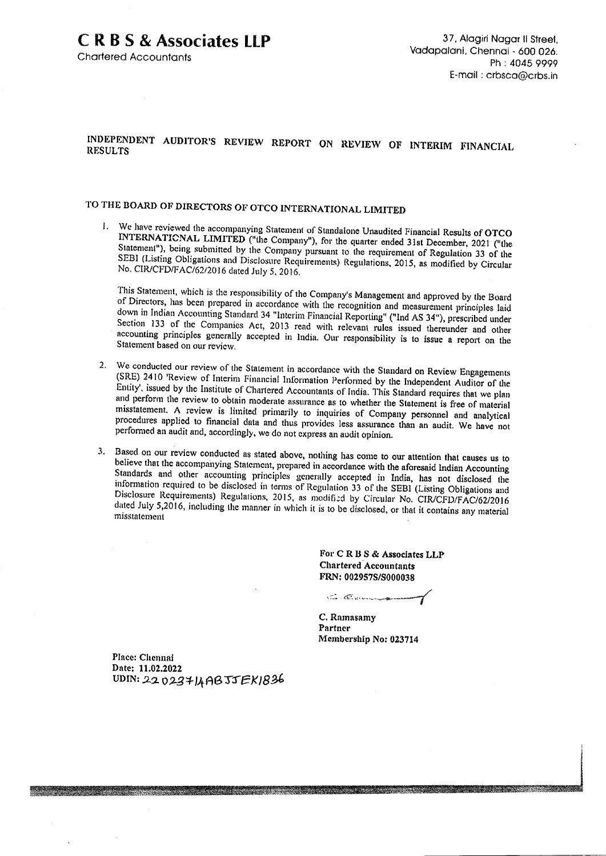**Chartered Accountants** 

#### INDEPENDENT AUDITOR'S REVIEW REPORT ON REVIEW OF INTERIM FINANCIAL **RESULTS**

# TO THE BOARD OF DIRECTORS OF OTCO INTERNATIONAL LIMITED

We have reviewed the accompanying Statement of Standalone Unaudited Financial Results of OTCO INTERNATIONAL LIMITED ("the Company"), for the quarter ended 31st December, 2021 ("the Statement"), being submitted by the Company pursuant to the requirement of Regulation 33 of the SEBI (Listing Obligations and Disclosure Requirements) Regulations, 2015, as modified by Circular No. CIR/CFD/FAC/62/2016 dated July 5, 2016.

This Statement, which is the responsibility of the Company's Management and approved by the Board of Directors, has been prepared in accordance with the recognition and measurement principles laid down in Indian Accounting Standard 34 "Interim Financial Reporting" ("Ind AS 34"), prescribed under Section 133 of the Companies Act, 2013 read with relevant rules issued thereunder and other accounting principles generally accepted in India. Our responsibility is to issue a report on the Statement based on our review.

- We conducted our review of the Statement in accordance with the Standard on Review Engagements  $2.$ (SRE) 2410 'Review of Interim Financial Information Performed by the Independent Auditor of the Entity', issued by the Institute of Chartered Accountants of India. This Standard requires that we plan and perform the review to obtain moderate assurance as to whether the Statement is free of material misstatement. A review is limited primarily to inquiries of Company personnel and analytical procedures applied to financial data and thus provides less assurance than an audit. We have not performed an audit and, accordingly, we do not express an audit opinion.
- 3. Based on our review conducted as stated above, nothing has come to our attention that causes us to believe that the accompanying Statement, prepared in accordance with the aforesaid Indian Accounting Standards and other accounting principles generally accepted in India, has not disclosed the information required to be disclosed in terms of Regulation 33 of the SEBI (Listing Obligations and Disclosure Requirements) Regulations, 2015, as modified by Circular No. CIR/CFD/FAC/62/2016 dated July 5,2016, including the manner in which it is to be disclosed, or that it contains any material misstatement

For CRBS & Associates LLP **Chartered Accountants** FRN: 002957S/S000038

C.C.C.

C. Ramasamy Partner Membership No: 023714

Place: Chennai Date: 11.02.2022 UDIN: 2202374ABJJEK1836